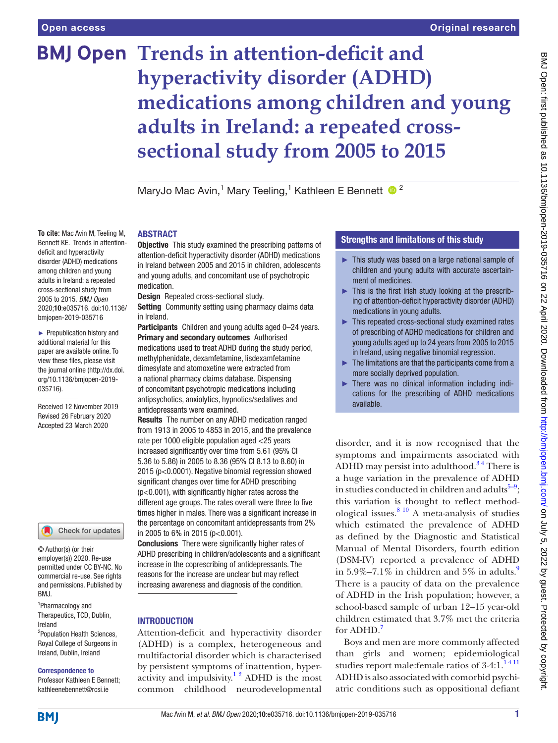**To cite:** Mac Avin M, Teeling M, Bennett KE. Trends in attentiondeficit and hyperactivity disorder (ADHD) medications among children and young adults in Ireland: a repeated cross-sectional study from 2005 to 2015. *BMJ Open* 2020;10:e035716. doi:10.1136/ bmjopen-2019-035716 ► Prepublication history and additional material for this paper are available online. To view these files, please visit the journal online (http://dx.doi. org/10.1136/bmjopen-2019-

035716).

Received 12 November 2019 Revised 26 February 2020 Accepted 23 March 2020

# **BMJ Open Trends in attention-deficit and hyperactivity disorder (ADHD) medications among children and young adults in Ireland: a repeated crosssectional study from 2005 to 2015**

MaryJo Mac Avin,<sup>1</sup> Mary Teeling,<sup>1</sup> Kathleen E Bennett <sup>1</sup>

# **ABSTRACT**

**Objective** This study examined the prescribing patterns of attention-deficit hyperactivity disorder (ADHD) medications in Ireland between 2005 and 2015 in children, adolescents and young adults, and concomitant use of psychotropic medication.

Design Repeated cross-sectional study.

Setting Community setting using pharmacy claims data in Ireland.

Participants Children and young adults aged 0-24 years. Primary and secondary outcomes Authorised medications used to treat ADHD during the study period, methylphenidate, dexamfetamine, lisdexamfetamine dimesylate and atomoxetine were extracted from a national pharmacy claims database. Dispensing

of concomitant psychotropic medications including antipsychotics, anxiolytics, hypnotics/sedatives and antidepressants were examined.

Results The number on any ADHD medication ranged from 1913 in 2005 to 4853 in 2015, and the prevalence rate per 1000 eligible population aged <25 years increased significantly over time from 5.61 (95% CI 5.36 to 5.86) in 2005 to 8.36 (95% CI 8.13 to 8.60) in 2015 (p<0.0001). Negative binomial regression showed significant changes over time for ADHD prescribing (p<0.001), with significantly higher rates across the different age groups. The rates overall were three to five times higher in males. There was a significant increase in the percentage on concomitant antidepressants from 2% in 2005 to 6% in 2015 (p<0.001).

Conclusions There were significantly higher rates of ADHD prescribing in children/adolescents and a significant increase in the coprescribing of antidepressants. The reasons for the increase are unclear but may reflect increasing awareness and diagnosis of the condition.

# **INTRODUCTION**

Attention-deficit and hyperactivity disorder (ADHD) is a complex, heterogeneous and multifactorial disorder which is characterised by persistent symptoms of inattention, hyperactivity and impulsivity.<sup>12</sup> ADHD is the most common childhood neurodevelopmental

# Strengths and limitations of this study

- ► This study was based on a large national sample of children and young adults with accurate ascertainment of medicines.
- ► This is the first Irish study looking at the prescribing of attention-deficit hyperactivity disorder (ADHD) medications in young adults.
- ► This repeated cross-sectional study examined rates of prescribing of ADHD medications for children and young adults aged up to 24 years from 2005 to 2015 in Ireland, using negative binomial regression.
- ► The limitations are that the participants come from a more socially deprived population.
- ► There was no clinical information including indications for the prescribing of ADHD medications available.

disorder, and it is now recognised that the symptoms and impairments associated with ADHD may persist into adulthood.<sup>34</sup> There is a huge variation in the prevalence of ADHD in studies conducted in children and adults $^{5-9}$ ; this variation is thought to reflect methodological issues. $810$  A meta-analysis of studies which estimated the prevalence of ADHD as defined by the Diagnostic and Statistical Manual of Mental Disorders, fourth edition (DSM-IV) reported a prevalence of ADHD in  $5.9\% - 7.1\%$  $5.9\% - 7.1\%$  $5.9\% - 7.1\%$  in children and  $5\%$  in adults. There is a paucity of data on the prevalence of ADHD in the Irish population; however, a school-based sample of urban 12–15 year-old children estimated that 3.7% met the criteria for ADHD.<sup>[7](#page-5-5)</sup>

Boys and men are more commonly affected than girls and women; epidemiological studies report male:female ratios of  $3-4:1.^{1411}$ ADHD is also associated with comorbid psychiatric conditions such as oppositional defiant

# **BMI**

Ireland

BMJ.

1 Pharmacology and Therapeutics, TCD, Dublin,

© Author(s) (or their employer(s)) 2020. Re-use permitted under CC BY-NC. No commercial re-use. See rights and permissions. Published by

Check for updates

2 Population Health Sciences, Royal College of Surgeons in Ireland, Dublin, Ireland Correspondence to Professor Kathleen E Bennett; kathleenebennett@rcsi.ie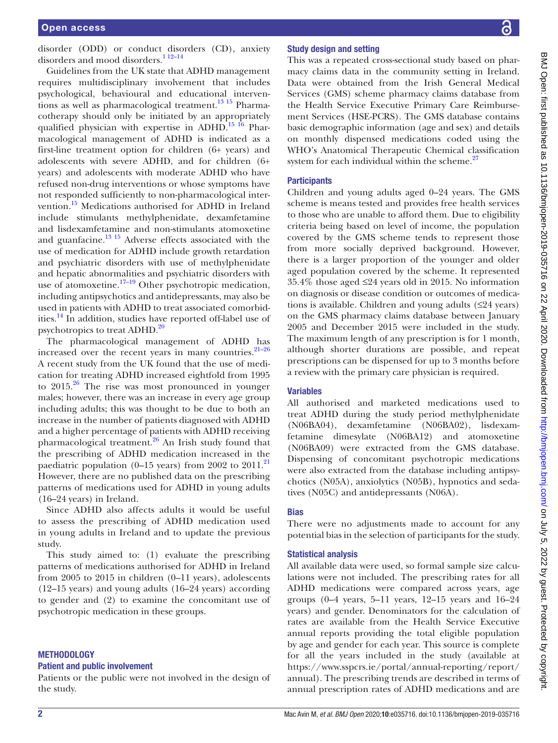disorder (ODD) or conduct disorders (CD), anxiety disorders and mood disorders.<sup>1 12-14</sup>

Guidelines from the UK state that ADHD management requires multidisciplinary involvement that includes psychological, behavioural and educational interventions as well as pharmacological treatment.<sup>13 15</sup> Pharmacotherapy should only be initiated by an appropriately qualified physician with expertise in ADHD.<sup>15 16</sup> Pharmacological management of ADHD is indicated as a first-line treatment option for children (6+ years) and adolescents with severe ADHD, and for children (6+ years) and adolescents with moderate ADHD who have refused non-drug interventions or whose symptoms have not responded sufficiently to non-pharmacological intervention.[15](#page-5-7) Medications authorised for ADHD in Ireland include stimulants methylphenidate, dexamfetamine and lisdexamfetamine and non-stimulants atomoxetine and guanfacine[.13 15](#page-5-6) Adverse effects associated with the use of medication for ADHD include growth retardation and psychiatric disorders with use of methylphenidate and hepatic abnormalities and psychiatric disorders with use of atomoxetine. $17-19$  Other psychotropic medication, including antipsychotics and antidepressants, may also be used in patients with ADHD to treat associated comorbid-ities.<sup>[14](#page-5-9)</sup> In addition, studies have reported off-label use of psychotropics to treat ADHD.<sup>[20](#page-5-10)</sup>

The pharmacological management of ADHD has increased over the recent years in many countries. $21-26$ A recent study from the UK found that the use of medication for treating ADHD increased eightfold from 1995 to  $2015.^{26}$  The rise was most pronounced in younger males; however, there was an increase in every age group including adults; this was thought to be due to both an increase in the number of patients diagnosed with ADHD and a higher percentage of patients with ADHD receiving pharmacological treatment.[26](#page-6-0) An Irish study found that the prescribing of ADHD medication increased in the paediatric population  $(0-15 \text{ years})$  from 2002 to 2011.<sup>21</sup> However, there are no published data on the prescribing patterns of medications used for ADHD in young adults (16–24 years) in Ireland.

Since ADHD also affects adults it would be useful to assess the prescribing of ADHD medication used in young adults in Ireland and to update the previous study.

This study aimed to: (1) evaluate the prescribing patterns of medications authorised for ADHD in Ireland from 2005 to 2015 in children (0–11 years), adolescents (12–15 years) and young adults (16–24 years) according to gender and (2) to examine the concomitant use of psychotropic medication in these groups.

# **METHODOLOGY**

#### Patient and public involvement

Patients or the public were not involved in the design of the study.

# Study design and setting

This was a repeated cross-sectional study based on pharmacy claims data in the community setting in Ireland. Data were obtained from the Irish General Medical Services (GMS) scheme pharmacy claims database from the Health Service Executive Primary Care Reimbursement Services (HSE-PCRS). The GMS database contains basic demographic information (age and sex) and details on monthly dispensed medications coded using the WHO's Anatomical Therapeutic Chemical classification system for each individual within the scheme. $27$ 

# **Participants**

Children and young adults aged 0–24 years. The GMS scheme is means tested and provides free health services to those who are unable to afford them. Due to eligibility criteria being based on level of income, the population covered by the GMS scheme tends to represent those from more socially deprived background. However, there is a larger proportion of the younger and older aged population covered by the scheme. It represented 35.4% those aged ≤24 years old in 2015. No information on diagnosis or disease condition or outcomes of medications is available. Children and young adults (≤24 years) on the GMS pharmacy claims database between January 2005 and December 2015 were included in the study. The maximum length of any prescription is for 1 month, although shorter durations are possible, and repeat prescriptions can be dispensed for up to 3 months before a review with the primary care physician is required.

# Variables

All authorised and marketed medications used to treat ADHD during the study period methylphenidate (N06BA04), dexamfetamine (N06BA02), lisdexamfetamine dimesylate (N06BA12) and atomoxetine (N06BA09) were extracted from the GMS database. Dispensing of concomitant psychotropic medications were also extracted from the database including antipsychotics (N05A), anxiolytics (N05B), hypnotics and sedatives (N05C) and antidepressants (N06A).

# **Bias**

There were no adjustments made to account for any potential bias in the selection of participants for the study.

# Statistical analysis

All available data were used, so formal sample size calculations were not included. The prescribing rates for all ADHD medications were compared across years, age groups (0–4 years, 5–11 years, 12–15 years and 16–24 years) and gender. Denominators for the calculation of rates are available from the Health Service Executive annual reports providing the total eligible population by age and gender for each year. This source is complete for all the years included in the study (available at [https://www.sspcrs.ie/portal/annual-reporting/report/](https://www.sspcrs.ie/portal/annual-reporting/report/annual) [annual](https://www.sspcrs.ie/portal/annual-reporting/report/annual)). The prescribing trends are described in terms of annual prescription rates of ADHD medications and are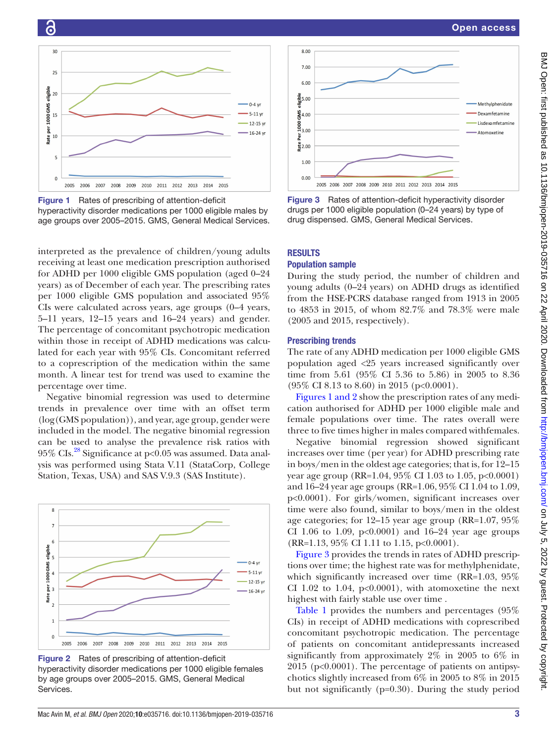



<span id="page-2-0"></span>Figure 1 Rates of prescribing of attention-deficit

6

hyperactivity disorder medications per 1000 eligible males by age groups over 2005–2015. GMS, General Medical Services.

interpreted as the prevalence of children/young adults receiving at least one medication prescription authorised for ADHD per 1000 eligible GMS population (aged 0–24 years) as of December of each year. The prescribing rates per 1000 eligible GMS population and associated 95% CIs were calculated across years, age groups (0–4 years, 5–11 years, 12–15 years and 16–24 years) and gender. The percentage of concomitant psychotropic medication within those in receipt of ADHD medications was calculated for each year with 95% CIs. Concomitant referred to a coprescription of the medication within the same month. A linear test for trend was used to examine the percentage over time.

Negative binomial regression was used to determine trends in prevalence over time with an offset term (log(GMS population)), and year, age group, gender were included in the model. The negative binomial regression can be used to analyse the prevalence risk ratios with  $95\%$  CIs.<sup>28</sup> Significance at p<0.05 was assumed. Data analysis was performed using Stata V.11 (StataCorp, College Station, Texas, USA) and SAS V.9.3 (SAS Institute).



Figure 2 Rates of prescribing of attention-deficit hyperactivity disorder medications per 1000 eligible females by age groups over 2005–2015. GMS, General Medical Services.



<span id="page-2-1"></span>Figure 3 Rates of attention-deficit hyperactivity disorder drugs per 1000 eligible population (0–24 years) by type of drug dispensed. GMS, General Medical Services.

# **RESULTS**

# Population sample

During the study period, the number of children and young adults (0–24 years) on ADHD drugs as identified from the HSE-PCRS database ranged from 1913 in 2005 to 4853 in 2015, of whom 82.7% and 78.3% were male (2005 and 2015, respectively).

## Prescribing trends

The rate of any ADHD medication per 1000 eligible GMS population aged <25 years increased significantly over time from 5.61 (95% CI 5.36 to 5.86) in 2005 to 8.36  $(95\% \text{ CI } 8.13 \text{ to } 8.60) \text{ in } 2015 \text{ (p<0.0001)}.$ 

[Figures](#page-2-0) 1 and 2 show the prescription rates of any medication authorised for ADHD per 1000 eligible male and female populations over time. The rates overall were three to five times higher in males compared withfemales.

Negative binomial regression showed significant increases over time (per year) for ADHD prescribing rate in boys/men in the oldest age categories; that is, for 12–15 year age group (RR=1.04, 95% CI 1.03 to 1.05, p<0.0001) and 16–24 year age groups (RR=1.06, 95% CI 1.04 to 1.09, p<0.0001). For girls/women, significant increases over time were also found, similar to boys/men in the oldest age categories; for 12–15 year age group (RR=1.07, 95% CI 1.06 to 1.09,  $p<0.0001$ ) and 16–24 year age groups (RR=1.13, 95% CI 1.11 to 1.15, p<0.0001).

[Figure](#page-2-1) 3 provides the trends in rates of ADHD prescriptions over time; the highest rate was for methylphenidate, which significantly increased over time (RR=1.03, 95% CI 1.02 to 1.04,  $p<0.0001$ ), with atomoxetine the next highest with fairly stable use over time .

[Table](#page-3-0) 1 provides the numbers and percentages (95% CIs) in receipt of ADHD medications with coprescribed concomitant psychotropic medication. The percentage of patients on concomitant antidepressants increased significantly from approximately 2% in 2005 to 6% in 2015 (p<0.0001). The percentage of patients on antipsychotics slightly increased from 6% in 2005 to 8% in 2015 but not significantly (p=0.30). During the study period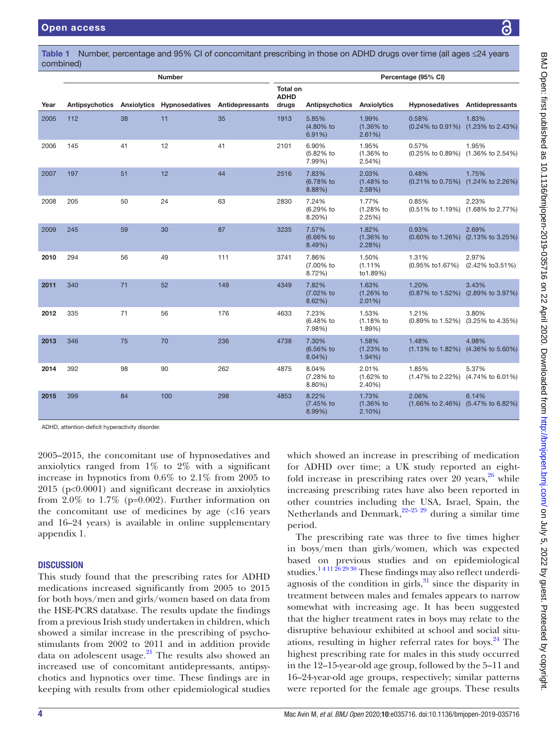|      | ,,,,,,,,,,,,,<br><b>Number</b> |    |                                                           |     | Percentage (95% CI)  |                                |                                |                                            |       |
|------|--------------------------------|----|-----------------------------------------------------------|-----|----------------------|--------------------------------|--------------------------------|--------------------------------------------|-------|
|      |                                |    |                                                           |     | <b>Total on</b>      |                                |                                |                                            |       |
| Year |                                |    | Antipsychotics Anxiolytics Hypnosedatives Antidepressants |     | <b>ADHD</b><br>drugs | Antipsychotics Anxiolytics     |                                | Hypnosedatives Antidepressants             |       |
| 2005 | 112                            | 38 | 11                                                        | 35  | 1913                 | 5.85%<br>(4.80% to<br>$6.91\%$ | 1.99%<br>$(1.36\%$ to<br>2.61% | 0.58%<br>(0.24% to 0.91%) (1.23% to 2.43%) | 1.83% |
| 2006 | 145                            | 41 | 12                                                        | 41  | 2101                 | 6.90%<br>(5.82% to<br>7.99%)   | 1.95%<br>$(1.36\%$ to<br>2.54% | 0.57%<br>(0.25% to 0.89%) (1.36% to 2.54%) | 1.95% |
| 2007 | 197                            | 51 | 12                                                        | 44  | 2516                 | 7.83%<br>(6.78% to<br>8.88%    | 2.03%<br>$(1.48%$ to<br>2.58%  | 0.48%<br>(0.21% to 0.75%) (1.24% to 2.26%) | 1.75% |
| 2008 | 205                            | 50 | 24                                                        | 63  | 2830                 | 7.24%<br>(6.29% to<br>$8.20\%$ | 1.77%<br>(1.28% to<br>2.25%    | 0.85%<br>(0.51% to 1.19%) (1.68% to 2.77%) | 2.23% |
| 2009 | 245                            | 59 | 30                                                        | 87  | 3235                 | 7.57%<br>(6.66% to<br>$8.49\%$ | 1.82%<br>$(1.36\%$ to<br>2.28% | 0.93%<br>(0.60% to 1.26%) (2.13% to 3.25%) | 2.69% |
| 2010 | 294                            | 56 | 49                                                        | 111 | 3741                 | 7.86%<br>(7.00% to<br>8.72%    | 1.50%<br>(1.11%<br>to1.89%)    | 1.31%<br>(0.95% to1.67%) (2.42% to3.51%)   | 2.97% |
| 2011 | 340                            | 71 | 52                                                        | 149 | 4349                 | 7.82%<br>(7.02% to<br>8.62%    | 1.63%<br>$(1.26%$ to<br>2.01%  | 1.20%<br>(0.87% to 1.52%) (2.89% to 3.97%) | 3.43% |
| 2012 | 335                            | 71 | 56                                                        | 176 | 4633                 | 7.23%<br>(6.48% to<br>7.98%)   | 1.53%<br>(1.18% to<br>1.89%)   | 1.21%<br>(0.89% to 1.52%) (3.25% to 4.35%) | 3.80% |
| 2013 | 346                            | 75 | 70                                                        | 236 | 4738                 | 7.30%<br>(6.56% to<br>$8.04\%$ | 1.58%<br>$(1.23%$ to<br>1.94%  | 1.48%<br>(1.13% to 1.82%) (4.36% to 5.60%) | 4.98% |
| 2014 | 392                            | 98 | 90                                                        | 262 | 4875                 | 8.04%<br>(7.28% to<br>$8.80\%$ | 2.01%<br>(1.62% to<br>$2.40\%$ | 1.85%<br>(1.47% to 2.22%) (4.74% to 6.01%) | 5.37% |
| 2015 | 399                            | 84 | 100                                                       | 298 | 4853                 | 8.22%<br>(7.45% to<br>$8.99\%$ | 1.73%<br>$(1.36\%$ to<br>2.10% | 2.06%<br>(1.66% to 2.46%) (5.47% to 6.82%) | 6.14% |

<span id="page-3-0"></span>Table 1 Number, percentage and 95% CI of concomitant prescribing in those on ADHD drugs over time (all ages ≤24 years combined)

ADHD, attention-deficit hyperactivity disorder.

2005–2015, the concomitant use of hypnosedatives and anxiolytics ranged from 1% to 2% with a significant increase in hypnotics from 0.6% to 2.1% from 2005 to 2015 (p<0.0001) and significant decrease in anxiolytics from  $2.0\%$  to  $1.7\%$  (p=0.002). Further information on the concomitant use of medicines by age (<16 years and 16–24 years) is available in [online supplementary](https://dx.doi.org/10.1136/bmjopen-2019-035716) [appendix 1](https://dx.doi.org/10.1136/bmjopen-2019-035716).

# **DISCUSSION**

This study found that the prescribing rates for ADHD medications increased significantly from 2005 to 2015 for both boys/men and girls/women based on data from the HSE-PCRS database. The results update the findings from a previous Irish study undertaken in children, which showed a similar increase in the prescribing of psychostimulants from 2002 to 2011 and in addition provide data on adolescent usage. $21$  The results also showed an increased use of concomitant antidepressants, antipsychotics and hypnotics over time. These findings are in keeping with results from other epidemiological studies

which showed an increase in prescribing of medication for ADHD over time; a UK study reported an eightfold increase in prescribing rates over 20 years,  $26 \text{ while}$  $26 \text{ while}$ increasing prescribing rates have also been reported in other countries including the USA, Israel, Spain, the Netherlands and Denmark,  $2^{2-25}$   $29$  during a similar time period.

The prescribing rate was three to five times higher in boys/men than girls/women, which was expected based on previous studies and on epidemiological studies.<sup>14 11 26</sup> 29 30 These findings may also reflect underdiagnosis of the condition in girls, $31$  since the disparity in treatment between males and females appears to narrow somewhat with increasing age. It has been suggested that the higher treatment rates in boys may relate to the disruptive behaviour exhibited at school and social situations, resulting in higher referral rates for boys. $24$  The highest prescribing rate for males in this study occurred in the 12–15-year-old age group, followed by the 5–11 and 16–24-year-old age groups, respectively; similar patterns were reported for the female age groups. These results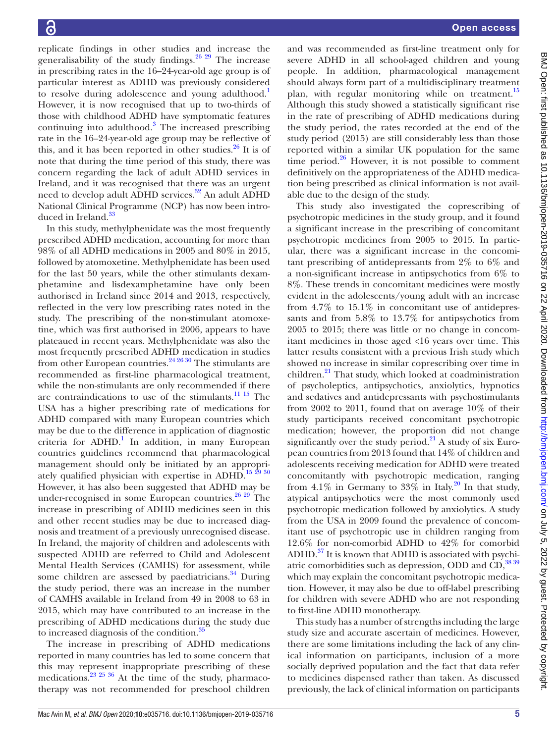replicate findings in other studies and increase the generalisability of the study findings.<sup>[26 29](#page-6-0)</sup> The increase in prescribing rates in the 16–24-year-old age group is of particular interest as ADHD was previously considered to resolve during adolescence and young adulthood.<sup>[1](#page-5-0)</sup> However, it is now recognised that up to two-thirds of those with childhood ADHD have symptomatic features continuing into adulthood.<sup>[3](#page-5-1)</sup> The increased prescribing rate in the 16–24-year-old age group may be reflective of this, and it has been reported in other studies. $^{26}$  It is of note that during the time period of this study, there was concern regarding the lack of adult ADHD services in Ireland, and it was recognised that there was an urgent need to develop adult ADHD services.<sup>32</sup> An adult ADHD National Clinical Programme (NCP) has now been introduced in Ireland.<sup>33</sup>

In this study, methylphenidate was the most frequently prescribed ADHD medication, accounting for more than 98% of all ADHD medications in 2005 and 80% in 2015, followed by atomoxetine. Methylphenidate has been used for the last 50 years, while the other stimulants dexamphetamine and lisdexamphetamine have only been authorised in Ireland since 2014 and 2013, respectively, reflected in the very low prescribing rates noted in the study. The prescribing of the non-stimulant atomoxetine, which was first authorised in 2006, appears to have plateaued in recent years. Methylphenidate was also the most frequently prescribed ADHD medication in studies from other European countries. $24\frac{26\frac{30}{10}}$  The stimulants are recommended as first-line pharmacological treatment, while the non-stimulants are only recommended if there are contraindications to use of the stimulants. $11 15$  The USA has a higher prescribing rate of medications for ADHD compared with many European countries which may be due to the difference in application of diagnostic criteria for ADHD.<sup>1</sup> In addition, in many European countries guidelines recommend that pharmacological management should only be initiated by an appropriately qualified physician with expertise in ADHD.<sup>15 29 30</sup> However, it has also been suggested that ADHD may be under-recognised in some European countries. $26\frac{29}{29}$  The increase in prescribing of ADHD medicines seen in this and other recent studies may be due to increased diagnosis and treatment of a previously unrecognised disease. In Ireland, the majority of children and adolescents with suspected ADHD are referred to Child and Adolescent Mental Health Services (CAMHS) for assessment, while some children are assessed by paediatricians.<sup>34</sup> During the study period, there was an increase in the number of CAMHS available in Ireland from 49 in 2008 to 63 in 2015, which may have contributed to an increase in the prescribing of ADHD medications during the study due to increased diagnosis of the condition.<sup>35</sup>

The increase in prescribing of ADHD medications reported in many countries has led to some concern that this may represent inappropriate prescribing of these medications.[23 25 36](#page-6-10) At the time of the study, pharmacotherapy was not recommended for preschool children

and was recommended as first-line treatment only for severe ADHD in all school-aged children and young people. In addition, pharmacological management should always form part of a multidisciplinary treatment plan, with regular monitoring while on treatment.<sup>[15](#page-5-7)</sup> Although this study showed a statistically significant rise in the rate of prescribing of ADHD medications during the study period, the rates recorded at the end of the study period (2015) are still considerably less than those reported within a similar UK population for the same time period. $26$  However, it is not possible to comment definitively on the appropriateness of the ADHD medication being prescribed as clinical information is not available due to the design of the study.

This study also investigated the coprescribing of psychotropic medicines in the study group, and it found a significant increase in the prescribing of concomitant psychotropic medicines from 2005 to 2015. In particular, there was a significant increase in the concomitant prescribing of antidepressants from 2% to 6% and a non-significant increase in antipsychotics from 6% to 8%. These trends in concomitant medicines were mostly evident in the adolescents/young adult with an increase from 4.7% to 15.1% in concomitant use of antidepressants and from 5.8% to 13.7% for antipsychotics from 2005 to 2015; there was little or no change in concomitant medicines in those aged <16 years over time. This latter results consistent with a previous Irish study which showed no increase in similar coprescribing over time in children.<sup>[21](#page-5-11)</sup> That study, which looked at coadministration of psycholeptics, antipsychotics, anxiolytics, hypnotics and sedatives and antidepressants with psychostimulants from 2002 to 2011, found that on average 10% of their study participants received concomitant psychotropic medication; however, the proportion did not change significantly over the study period.<sup>21</sup> A study of six European countries from 2013 found that 14% of children and adolescents receiving medication for ADHD were treated concomitantly with psychotropic medication, ranging from 4.1% in Germany to  $33\%$  in Italy.<sup>20</sup> In that study, atypical antipsychotics were the most commonly used psychotropic medication followed by anxiolytics. A study from the USA in 2009 found the prevalence of concomitant use of psychotropic use in children ranging from 12.6% for non-comorbid ADHD to 42% for comorbid ADHD.<sup>37</sup> It is known that ADHD is associated with psychiatric comorbidities such as depression, ODD and  $CD$ ,  $3839$ which may explain the concomitant psychotropic medication. However, it may also be due to off-label prescribing for children with severe ADHD who are not responding to first-line ADHD monotherapy.

This study has a number of strengths including the large study size and accurate ascertain of medicines. However, there are some limitations including the lack of any clinical information on participants, inclusion of a more socially deprived population and the fact that data refer to medicines dispensed rather than taken. As discussed previously, the lack of clinical information on participants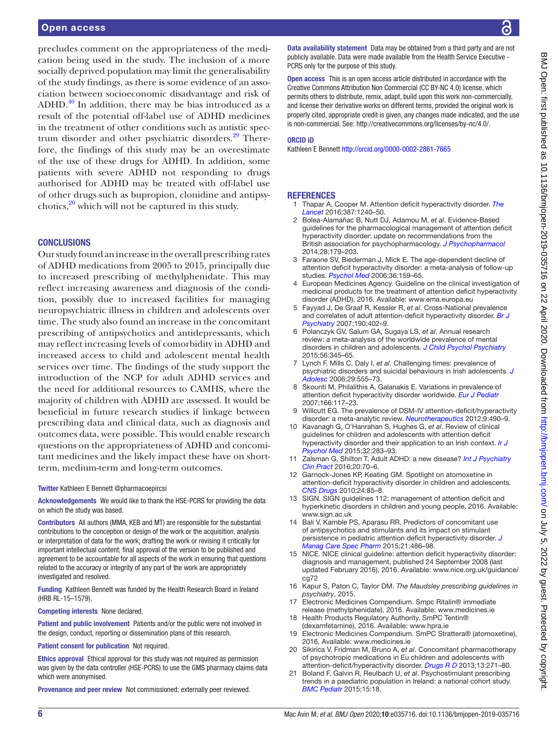### Open access

precludes comment on the appropriateness of the medication being used in the study. The inclusion of a more socially deprived population may limit the generalisability of the study findings, as there is some evidence of an association between socioeconomic disadvantage and risk of ADHD. $40$  In addition, there may be bias introduced as a result of the potential off-label use of ADHD medicines in the treatment of other conditions such as autistic spec-trum disorder and other psychiatric disorders.<sup>[29](#page-6-14)</sup> Therefore, the findings of this study may be an overestimate of the use of these drugs for ADHD. In addition, some patients with severe ADHD not responding to drugs authorised for ADHD may be treated with off-label use of other drugs such as bupropion, clonidine and antipsychotics, $2^0$  which will not be captured in this study.

# **CONCLUSIONS**

Our study found an increase in the overall prescribing rates of ADHD medications from 2005 to 2015, principally due to increased prescribing of methylphenidate. This may reflect increasing awareness and diagnosis of the condition, possibly due to increased facilities for managing neuropsychiatric illness in children and adolescents over time. The study also found an increase in the concomitant prescribing of antipsychotics and antidepressants, which may reflect increasing levels of comorbidity in ADHD and increased access to child and adolescent mental health services over time. The findings of the study support the introduction of the NCP for adult ADHD services and the need for additional resources to CAMHS, where the majority of children with ADHD are assessed. It would be beneficial in future research studies if linkage between prescribing data and clinical data, such as diagnosis and outcomes data, were possible. This would enable research questions on the appropriateness of ADHD and concomitant medicines and the likely impact these have on shortterm, medium-term and long-term outcomes.

#### Twitter Kathleen E Bennett [@pharmacoepircsi](https://twitter.com/pharmacoepircsi)

Acknowledgements We would like to thank the HSE-PCRS for providing the data on which the study was based.

Contributors All authors (MMA, KEB and MT) are responsible for the substantial contributions to the conception or design of the work or the acquisition, analysis or interpretation of data for the work; drafting the work or revising it critically for important intellectual content; final approval of the version to be published and agreement to be accountable for all aspects of the work in ensuring that questions related to the accuracy or integrity of any part of the work are appropriately investigated and resolved.

Funding Kathleen Bennett was funded by the Health Research Board in Ireland (HRB RL-15–1579).

Competing interests None declared.

Patient and public involvement Patients and/or the public were not involved in the design, conduct, reporting or dissemination plans of this research.

#### Patient consent for publication Not required.

Ethics approval Ethical approval for this study was not required as permission was given by the data controller (HSE-PCRS) to use the GMS pharmacy claims data which were anonymised.

Provenance and peer review Not commissioned; externally peer reviewed.

BMJ Open: first published as 10.1136/bmjopen-2019-035716 on 22 April 2020. Downloaded from http://bmjopen.bmj.com/ on July 5, 2022 by guest. Protected by copyright BMJ Open: first published as 10.1136/bmjopen-2019-035716 on 22 April 2020. Downloaded from <http://bmjopen.bmj.com/> on July 5, 2022 by guest. Protected by copyright.

Data availability statement Data may be obtained from a third party and are not publicly available. Data were made available from the Health Service Executive - PCRS only for the purpose of this study.

Open access This is an open access article distributed in accordance with the Creative Commons Attribution Non Commercial (CC BY-NC 4.0) license, which permits others to distribute, remix, adapt, build upon this work non-commercially, and license their derivative works on different terms, provided the original work is properly cited, appropriate credit is given, any changes made indicated, and the use is non-commercial. See: [http://creativecommons.org/licenses/by-nc/4.0/.](http://creativecommons.org/licenses/by-nc/4.0/)

#### ORCID iD

Kathleen E Bennett<http://orcid.org/0000-0002-2861-7665>

#### <span id="page-5-0"></span>**REFERENCES**

- 1 Thapar A, Cooper M. Attention deficit hyperactivity disorder. *[The](http://dx.doi.org/10.1016/S0140-6736(15)00238-X)  [Lancet](http://dx.doi.org/10.1016/S0140-6736(15)00238-X)* 2016;387:1240–50.
- 2 Bolea-Alamañac B, Nutt DJ, Adamou M, *et al*. Evidence-Based guidelines for the pharmacological management of attention deficit hyperactivity disorder: update on recommendations from the British association for psychopharmacology. *[J Psychopharmacol](http://dx.doi.org/10.1177/0269881113519509)* 2014;28:179–203.
- <span id="page-5-1"></span>Faraone SV, Biederman J, Mick E. The age-dependent decline of attention deficit hyperactivity disorder: a meta-analysis of follow-up studies. *[Psychol Med](http://dx.doi.org/10.1017/S003329170500471X)* 2006;36:159–65.
- 4 European Medicines Agency. Guideline on the clinical investigation of medicinal products for the treatment of attention deficit hyperactivity disorder (ADHD), 2016. Available:<www.ema.europa.eu>
- <span id="page-5-2"></span>5 Fayyad J, De Graaf R, Kessler R, *et al*. Cross-National prevalence and correlates of adult attention-deficit hyperactivity disorder. *[Br J](http://dx.doi.org/10.1192/bjp.bp.106.034389)  [Psychiatry](http://dx.doi.org/10.1192/bjp.bp.106.034389)* 2007;190:402–9.
- 6 Polanczyk GV, Salum GA, Sugaya LS, *et al*. Annual research review: a meta-analysis of the worldwide prevalence of mental disorders in children and adolescents. *[J Child Psychol Psychiatry](http://dx.doi.org/10.1111/jcpp.12381)* 2015;56:345–65.
- <span id="page-5-5"></span>7 Lynch F, Mills C, Daly I, *et al*. Challenging times: prevalence of psychiatric disorders and suicidal behaviours in Irish adolescents. *[J](http://dx.doi.org/10.1016/j.adolescence.2005.08.011)  [Adolesc](http://dx.doi.org/10.1016/j.adolescence.2005.08.011)* 2006;29:555–73.
- <span id="page-5-3"></span>8 Skounti M, Philalithis A, Galanakis E. Variations in prevalence of attention deficit hyperactivity disorder worldwide. *[Eur J Pediatr](http://dx.doi.org/10.1007/s00431-006-0299-5)* 2007;166:117–23.
- <span id="page-5-4"></span>Willcutt EG. The prevalence of DSM-IV attention-deficit/hyperactivity disorder: a meta-analytic review. *[Neurotherapeutics](http://dx.doi.org/10.1007/s13311-012-0135-8)* 2012;9:490–9.
- 10 Kavanagh G, O'Hanrahan S, Hughes G, *et al*. Review of clinical guidelines for children and adolescents with attention deficit hyperactivity disorder and their application to an Irish context. *[Ir J](http://dx.doi.org/10.1017/ipm.2014.63)  [Psychol Med](http://dx.doi.org/10.1017/ipm.2014.63)* 2015;32:283–93.
- <span id="page-5-12"></span>11 Zalsman G, Shilton T. Adult ADHD: a new disease? *[Int J Psychiatry](http://dx.doi.org/10.3109/13651501.2016.1149197)  [Clin Pract](http://dx.doi.org/10.3109/13651501.2016.1149197)* 2016;20:70–6.
- 12 Garnock-Jones KP, Keating GM. Spotlight on atomoxetine in attention-deficit hyperactivity disorder in children and adolescents. *[CNS Drugs](http://dx.doi.org/10.2165/11203670-000000000-00000)* 2010;24:85–8.
- <span id="page-5-6"></span>13 SIGN. SIGN guidelines 112: management of attention deficit and hyperkinetic disorders in children and young people, 2016. Available: <www.sign.ac.uk>
- <span id="page-5-9"></span>14 Bali V, Kamble PS, Aparasu RR. Predictors of concomitant use of antipsychotics and stimulants and its impact on stimulant persistence in pediatric attention deficit hyperactivity disorder. *[J](http://dx.doi.org/10.18553/jmcp.2015.21.6.486)  [Manag Care Spec Pharm](http://dx.doi.org/10.18553/jmcp.2015.21.6.486)* 2015;21:486–98.
- <span id="page-5-7"></span>15 NICE. NICE clinical guideline: attention deficit hyperactivity disorder: diagnosis and management, published 24 September 2008 (last updated February 2016), 2016. Available: [www.nice.org.uk/guidance/](www.nice.org.uk/guidance/cg72) ca<sub>72</sub>
- 16 Kapur S, Paton C, Taylor DM. *The Maudsley prescribing guidelines in psychiatry*, 2015.
- <span id="page-5-8"></span>17 Electronic Medicines Compendium. Smpc Ritalin® immediate release (methylphenidate), 2016. Available: <www.medicines.ie>
- 18 Health Products Regulatory Authority. SmPC Tentin® (dexamfetamine), 2016. Available: <www.hpra.ie>
- 19 Electronic Medicines Compendium. SmPC Strattera® (atomoxetine), 2016. Available: <www.medicines.ie>
- <span id="page-5-10"></span>20 Sikirica V, Fridman M, Bruno A, *et al*. Concomitant pharmacotherapy of psychotropic medications in Eu children and adolescents with attention-deficit/hyperactivity disorder. *[Drugs R D](http://dx.doi.org/10.1007/s40268-013-0034-4)* 2013;13:271–80.
- <span id="page-5-11"></span>21 Boland F, Galvin R, Reulbach U, *et al*. Psychostimulant prescribing trends in a paediatric population in Ireland: a national cohort study. *[BMC Pediatr](http://dx.doi.org/10.1186/s12887-015-0435-3)* 2015;15:18.